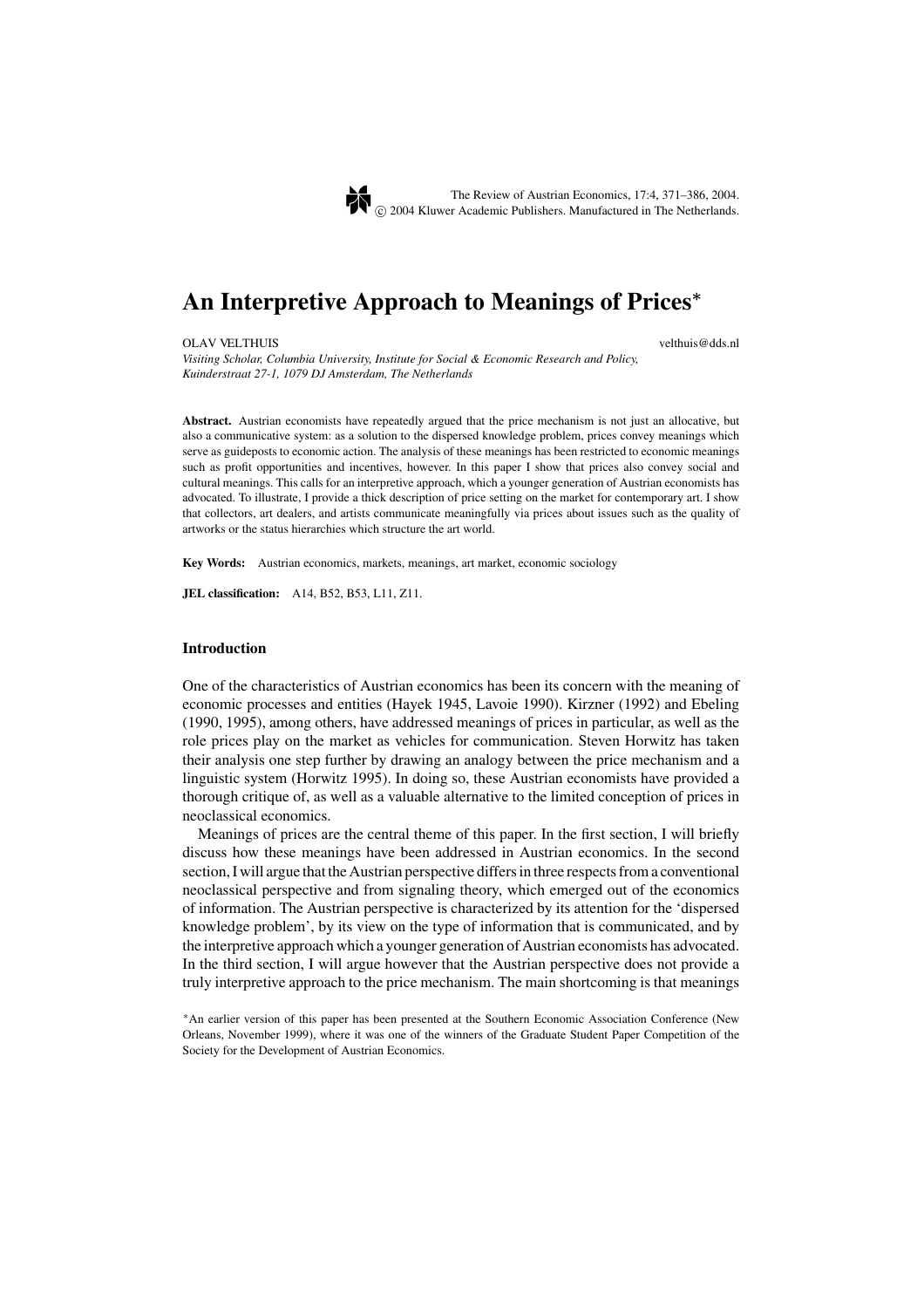# **An Interpretive Approach to Meanings of Prices***∗*

OLAV VELTHUIS velthuis@dds.nl

*Visiting Scholar, Columbia University, Institute for Social & Economic Research and Policy, Kuinderstraat 27-1, 1079 DJ Amsterdam, The Netherlands*

**Abstract.** Austrian economists have repeatedly argued that the price mechanism is not just an allocative, but also a communicative system: as a solution to the dispersed knowledge problem, prices convey meanings which serve as guideposts to economic action. The analysis of these meanings has been restricted to economic meanings such as profit opportunities and incentives, however. In this paper I show that prices also convey social and cultural meanings. This calls for an interpretive approach, which a younger generation of Austrian economists has advocated. To illustrate, I provide a thick description of price setting on the market for contemporary art. I show that collectors, art dealers, and artists communicate meaningfully via prices about issues such as the quality of artworks or the status hierarchies which structure the art world.

**Key Words:** Austrian economics, markets, meanings, art market, economic sociology

**JEL classification:** A14, B52, B53, L11, Z11.

#### **Introduction**

One of the characteristics of Austrian economics has been its concern with the meaning of economic processes and entities (Hayek 1945, Lavoie 1990). Kirzner (1992) and Ebeling (1990, 1995), among others, have addressed meanings of prices in particular, as well as the role prices play on the market as vehicles for communication. Steven Horwitz has taken their analysis one step further by drawing an analogy between the price mechanism and a linguistic system (Horwitz 1995). In doing so, these Austrian economists have provided a thorough critique of, as well as a valuable alternative to the limited conception of prices in neoclassical economics.

Meanings of prices are the central theme of this paper. In the first section, I will briefly discuss how these meanings have been addressed in Austrian economics. In the second section, I will argue that the Austrian perspective differs in three respects from a conventional neoclassical perspective and from signaling theory, which emerged out of the economics of information. The Austrian perspective is characterized by its attention for the 'dispersed knowledge problem', by its view on the type of information that is communicated, and by the interpretive approach which a younger generation of Austrian economists has advocated. In the third section, I will argue however that the Austrian perspective does not provide a truly interpretive approach to the price mechanism. The main shortcoming is that meanings

∗An earlier version of this paper has been presented at the Southern Economic Association Conference (New Orleans, November 1999), where it was one of the winners of the Graduate Student Paper Competition of the Society for the Development of Austrian Economics.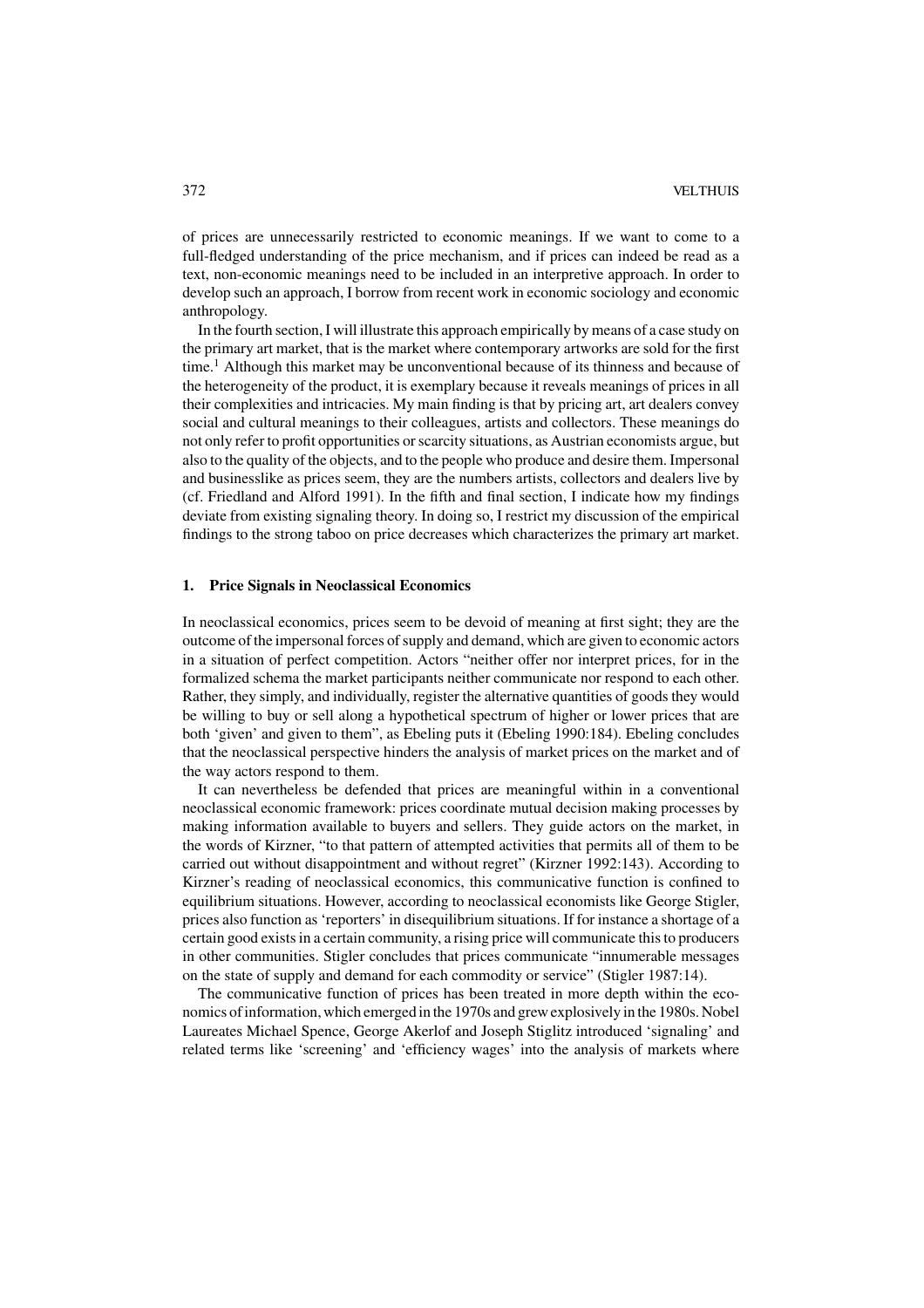of prices are unnecessarily restricted to economic meanings. If we want to come to a full-fledged understanding of the price mechanism, and if prices can indeed be read as a text, non-economic meanings need to be included in an interpretive approach. In order to develop such an approach, I borrow from recent work in economic sociology and economic anthropology.

In the fourth section, I will illustrate this approach empirically by means of a case study on the primary art market, that is the market where contemporary artworks are sold for the first time.<sup>1</sup> Although this market may be unconventional because of its thinness and because of the heterogeneity of the product, it is exemplary because it reveals meanings of prices in all their complexities and intricacies. My main finding is that by pricing art, art dealers convey social and cultural meanings to their colleagues, artists and collectors. These meanings do not only refer to profit opportunities or scarcity situations, as Austrian economists argue, but also to the quality of the objects, and to the people who produce and desire them. Impersonal and businesslike as prices seem, they are the numbers artists, collectors and dealers live by (cf. Friedland and Alford 1991). In the fifth and final section, I indicate how my findings deviate from existing signaling theory. In doing so, I restrict my discussion of the empirical findings to the strong taboo on price decreases which characterizes the primary art market.

# **1. Price Signals in Neoclassical Economics**

In neoclassical economics, prices seem to be devoid of meaning at first sight; they are the outcome of the impersonal forces of supply and demand, which are given to economic actors in a situation of perfect competition. Actors "neither offer nor interpret prices, for in the formalized schema the market participants neither communicate nor respond to each other. Rather, they simply, and individually, register the alternative quantities of goods they would be willing to buy or sell along a hypothetical spectrum of higher or lower prices that are both 'given' and given to them", as Ebeling puts it (Ebeling 1990:184). Ebeling concludes that the neoclassical perspective hinders the analysis of market prices on the market and of the way actors respond to them.

It can nevertheless be defended that prices are meaningful within in a conventional neoclassical economic framework: prices coordinate mutual decision making processes by making information available to buyers and sellers. They guide actors on the market, in the words of Kirzner, "to that pattern of attempted activities that permits all of them to be carried out without disappointment and without regret" (Kirzner 1992:143). According to Kirzner's reading of neoclassical economics, this communicative function is confined to equilibrium situations. However, according to neoclassical economists like George Stigler, prices also function as 'reporters' in disequilibrium situations. If for instance a shortage of a certain good exists in a certain community, a rising price will communicate this to producers in other communities. Stigler concludes that prices communicate "innumerable messages on the state of supply and demand for each commodity or service" (Stigler 1987:14).

The communicative function of prices has been treated in more depth within the economics of information, which emerged in the 1970s and grew explosively in the 1980s. Nobel Laureates Michael Spence, George Akerlof and Joseph Stiglitz introduced 'signaling' and related terms like 'screening' and 'efficiency wages' into the analysis of markets where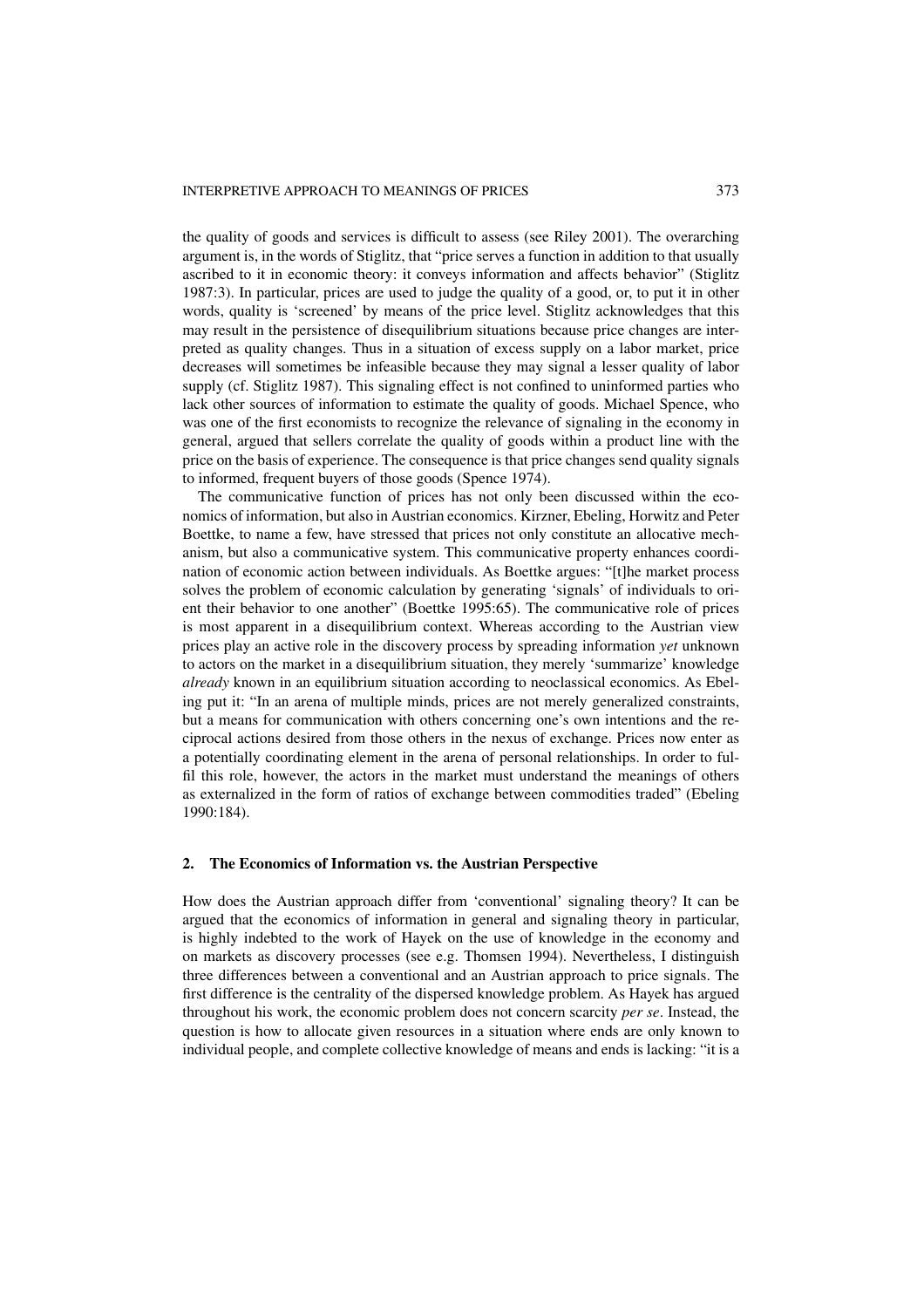the quality of goods and services is difficult to assess (see Riley 2001). The overarching argument is, in the words of Stiglitz, that "price serves a function in addition to that usually ascribed to it in economic theory: it conveys information and affects behavior" (Stiglitz 1987:3). In particular, prices are used to judge the quality of a good, or, to put it in other words, quality is 'screened' by means of the price level. Stiglitz acknowledges that this may result in the persistence of disequilibrium situations because price changes are interpreted as quality changes. Thus in a situation of excess supply on a labor market, price decreases will sometimes be infeasible because they may signal a lesser quality of labor supply (cf. Stiglitz 1987). This signaling effect is not confined to uninformed parties who lack other sources of information to estimate the quality of goods. Michael Spence, who was one of the first economists to recognize the relevance of signaling in the economy in general, argued that sellers correlate the quality of goods within a product line with the price on the basis of experience. The consequence is that price changes send quality signals to informed, frequent buyers of those goods (Spence 1974).

The communicative function of prices has not only been discussed within the economics of information, but also in Austrian economics. Kirzner, Ebeling, Horwitz and Peter Boettke, to name a few, have stressed that prices not only constitute an allocative mechanism, but also a communicative system. This communicative property enhances coordination of economic action between individuals. As Boettke argues: "[t]he market process solves the problem of economic calculation by generating 'signals' of individuals to orient their behavior to one another" (Boettke 1995:65). The communicative role of prices is most apparent in a disequilibrium context. Whereas according to the Austrian view prices play an active role in the discovery process by spreading information *yet* unknown to actors on the market in a disequilibrium situation, they merely 'summarize' knowledge *already* known in an equilibrium situation according to neoclassical economics. As Ebeling put it: "In an arena of multiple minds, prices are not merely generalized constraints, but a means for communication with others concerning one's own intentions and the reciprocal actions desired from those others in the nexus of exchange. Prices now enter as a potentially coordinating element in the arena of personal relationships. In order to fulfil this role, however, the actors in the market must understand the meanings of others as externalized in the form of ratios of exchange between commodities traded" (Ebeling 1990:184).

# **2. The Economics of Information vs. the Austrian Perspective**

How does the Austrian approach differ from 'conventional' signaling theory? It can be argued that the economics of information in general and signaling theory in particular, is highly indebted to the work of Hayek on the use of knowledge in the economy and on markets as discovery processes (see e.g. Thomsen 1994). Nevertheless, I distinguish three differences between a conventional and an Austrian approach to price signals. The first difference is the centrality of the dispersed knowledge problem. As Hayek has argued throughout his work, the economic problem does not concern scarcity *per se*. Instead, the question is how to allocate given resources in a situation where ends are only known to individual people, and complete collective knowledge of means and ends is lacking: "it is a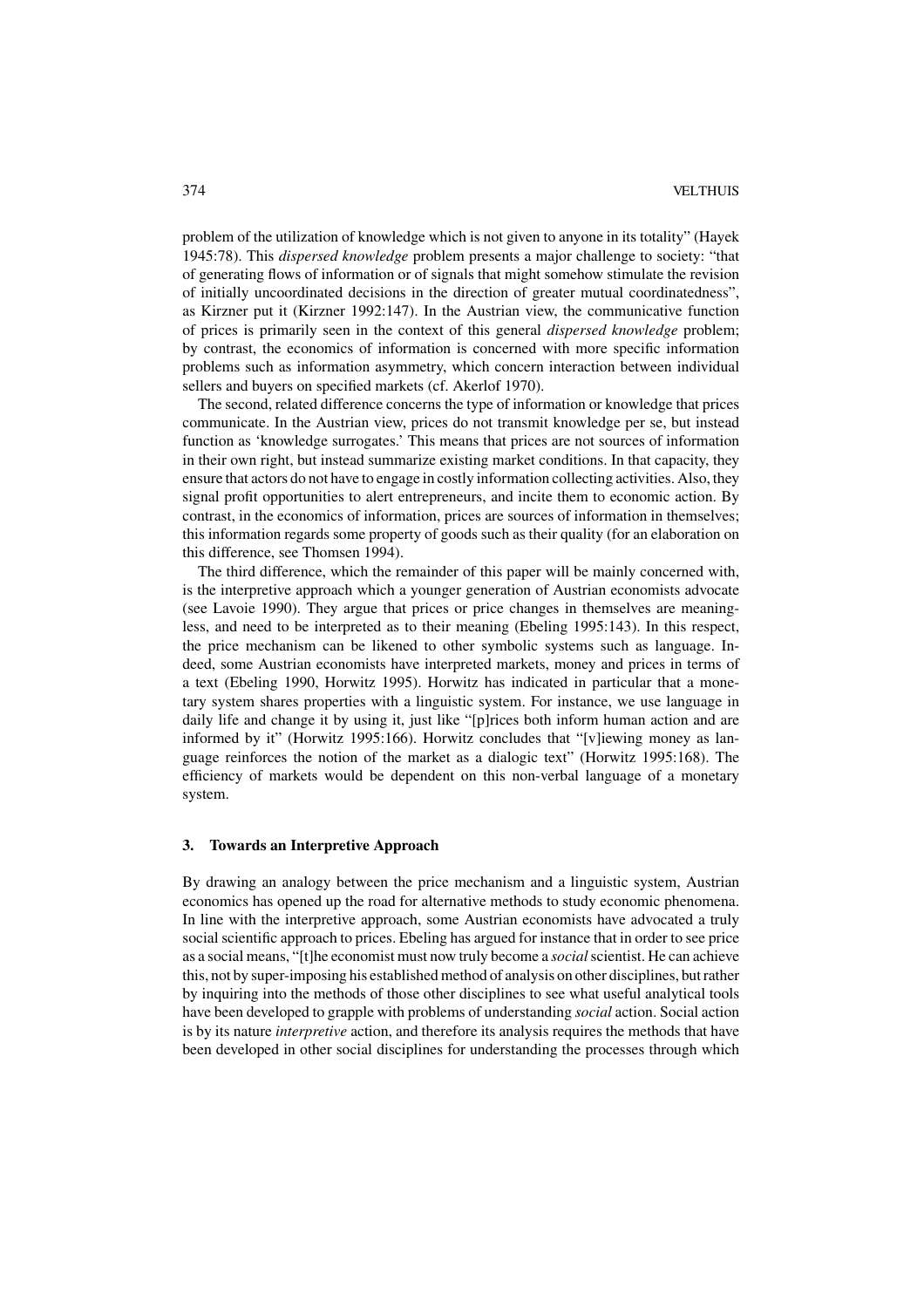problem of the utilization of knowledge which is not given to anyone in its totality" (Hayek 1945:78). This *dispersed knowledge* problem presents a major challenge to society: "that of generating flows of information or of signals that might somehow stimulate the revision of initially uncoordinated decisions in the direction of greater mutual coordinatedness", as Kirzner put it (Kirzner 1992:147). In the Austrian view, the communicative function of prices is primarily seen in the context of this general *dispersed knowledge* problem; by contrast, the economics of information is concerned with more specific information problems such as information asymmetry, which concern interaction between individual sellers and buyers on specified markets (cf. Akerlof 1970).

The second, related difference concerns the type of information or knowledge that prices communicate. In the Austrian view, prices do not transmit knowledge per se, but instead function as 'knowledge surrogates.' This means that prices are not sources of information in their own right, but instead summarize existing market conditions. In that capacity, they ensure that actors do not have to engage in costly information collecting activities. Also, they signal profit opportunities to alert entrepreneurs, and incite them to economic action. By contrast, in the economics of information, prices are sources of information in themselves; this information regards some property of goods such as their quality (for an elaboration on this difference, see Thomsen 1994).

The third difference, which the remainder of this paper will be mainly concerned with, is the interpretive approach which a younger generation of Austrian economists advocate (see Lavoie 1990). They argue that prices or price changes in themselves are meaningless, and need to be interpreted as to their meaning (Ebeling 1995:143). In this respect, the price mechanism can be likened to other symbolic systems such as language. Indeed, some Austrian economists have interpreted markets, money and prices in terms of a text (Ebeling 1990, Horwitz 1995). Horwitz has indicated in particular that a monetary system shares properties with a linguistic system. For instance, we use language in daily life and change it by using it, just like "[p]rices both inform human action and are informed by it" (Horwitz 1995:166). Horwitz concludes that "[v]iewing money as language reinforces the notion of the market as a dialogic text" (Horwitz 1995:168). The efficiency of markets would be dependent on this non-verbal language of a monetary system.

## **3. Towards an Interpretive Approach**

By drawing an analogy between the price mechanism and a linguistic system, Austrian economics has opened up the road for alternative methods to study economic phenomena. In line with the interpretive approach, some Austrian economists have advocated a truly social scientific approach to prices. Ebeling has argued for instance that in order to see price as a social means, "[t]he economist must now truly become a *social*scientist. He can achieve this, not by super-imposing his established method of analysis on other disciplines, but rather by inquiring into the methods of those other disciplines to see what useful analytical tools have been developed to grapple with problems of understanding *social* action. Social action is by its nature *interpretive* action, and therefore its analysis requires the methods that have been developed in other social disciplines for understanding the processes through which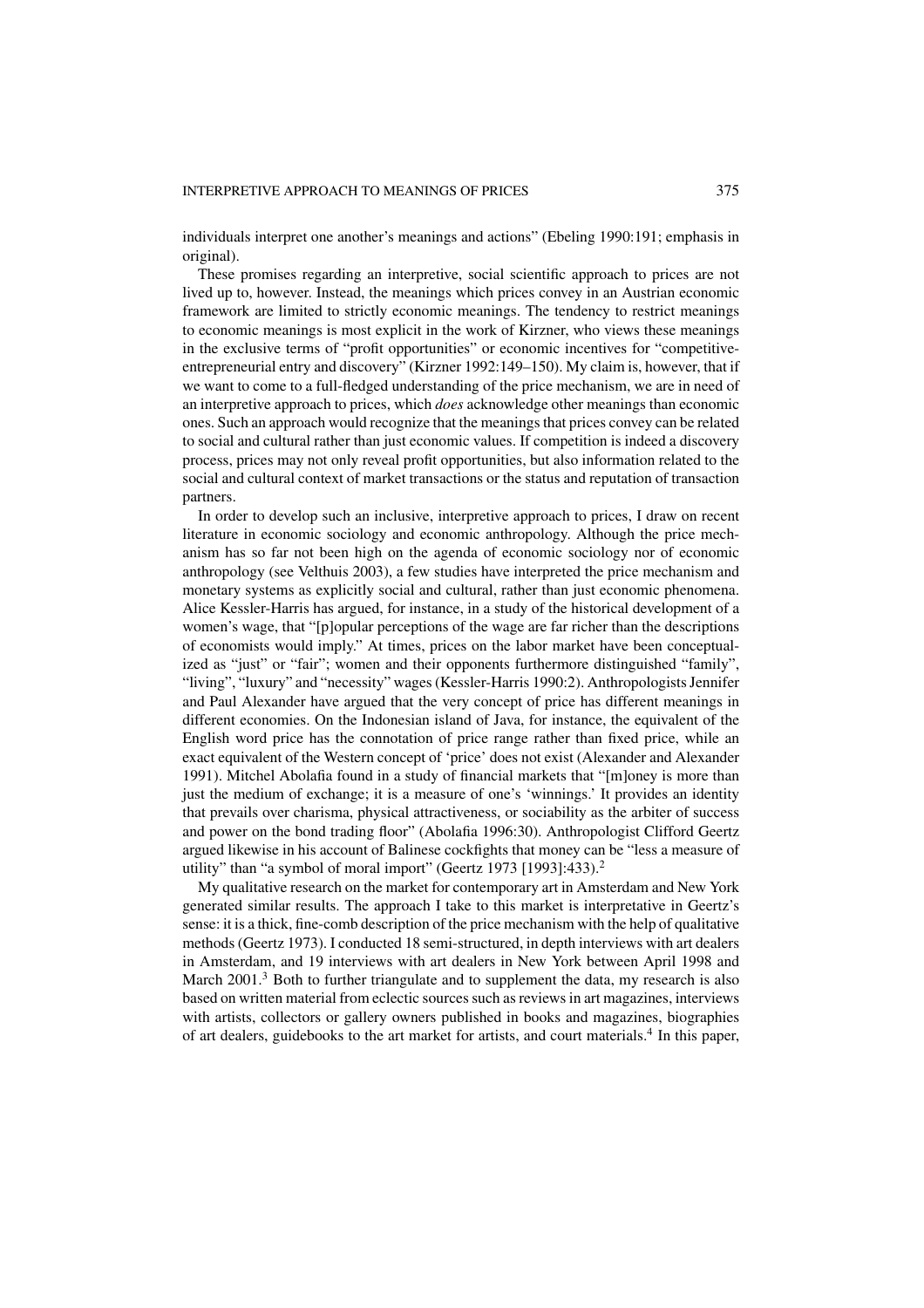#### INTERPRETIVE APPROACH TO MEANINGS OF PRICES 375

individuals interpret one another's meanings and actions" (Ebeling 1990:191; emphasis in original).

These promises regarding an interpretive, social scientific approach to prices are not lived up to, however. Instead, the meanings which prices convey in an Austrian economic framework are limited to strictly economic meanings. The tendency to restrict meanings to economic meanings is most explicit in the work of Kirzner, who views these meanings in the exclusive terms of "profit opportunities" or economic incentives for "competitiveentrepreneurial entry and discovery" (Kirzner 1992:149–150). My claim is, however, that if we want to come to a full-fledged understanding of the price mechanism, we are in need of an interpretive approach to prices, which *does* acknowledge other meanings than economic ones. Such an approach would recognize that the meanings that prices convey can be related to social and cultural rather than just economic values. If competition is indeed a discovery process, prices may not only reveal profit opportunities, but also information related to the social and cultural context of market transactions or the status and reputation of transaction partners.

In order to develop such an inclusive, interpretive approach to prices, I draw on recent literature in economic sociology and economic anthropology. Although the price mechanism has so far not been high on the agenda of economic sociology nor of economic anthropology (see Velthuis 2003), a few studies have interpreted the price mechanism and monetary systems as explicitly social and cultural, rather than just economic phenomena. Alice Kessler-Harris has argued, for instance, in a study of the historical development of a women's wage, that "[p]opular perceptions of the wage are far richer than the descriptions of economists would imply." At times, prices on the labor market have been conceptualized as "just" or "fair"; women and their opponents furthermore distinguished "family", "living", "luxury" and "necessity" wages (Kessler-Harris 1990:2). Anthropologists Jennifer and Paul Alexander have argued that the very concept of price has different meanings in different economies. On the Indonesian island of Java, for instance, the equivalent of the English word price has the connotation of price range rather than fixed price, while an exact equivalent of the Western concept of 'price' does not exist (Alexander and Alexander 1991). Mitchel Abolafia found in a study of financial markets that "[m]oney is more than just the medium of exchange; it is a measure of one's 'winnings.' It provides an identity that prevails over charisma, physical attractiveness, or sociability as the arbiter of success and power on the bond trading floor" (Abolafia 1996:30). Anthropologist Clifford Geertz argued likewise in his account of Balinese cockfights that money can be "less a measure of utility" than "a symbol of moral import" (Geertz 1973 [1993]:433).<sup>2</sup>

My qualitative research on the market for contemporary art in Amsterdam and New York generated similar results. The approach I take to this market is interpretative in Geertz's sense: it is a thick, fine-comb description of the price mechanism with the help of qualitative methods (Geertz 1973). I conducted 18 semi-structured, in depth interviews with art dealers in Amsterdam, and 19 interviews with art dealers in New York between April 1998 and March 2001.<sup>3</sup> Both to further triangulate and to supplement the data, my research is also based on written material from eclectic sources such as reviews in art magazines, interviews with artists, collectors or gallery owners published in books and magazines, biographies of art dealers, guidebooks to the art market for artists, and court materials.<sup>4</sup> In this paper,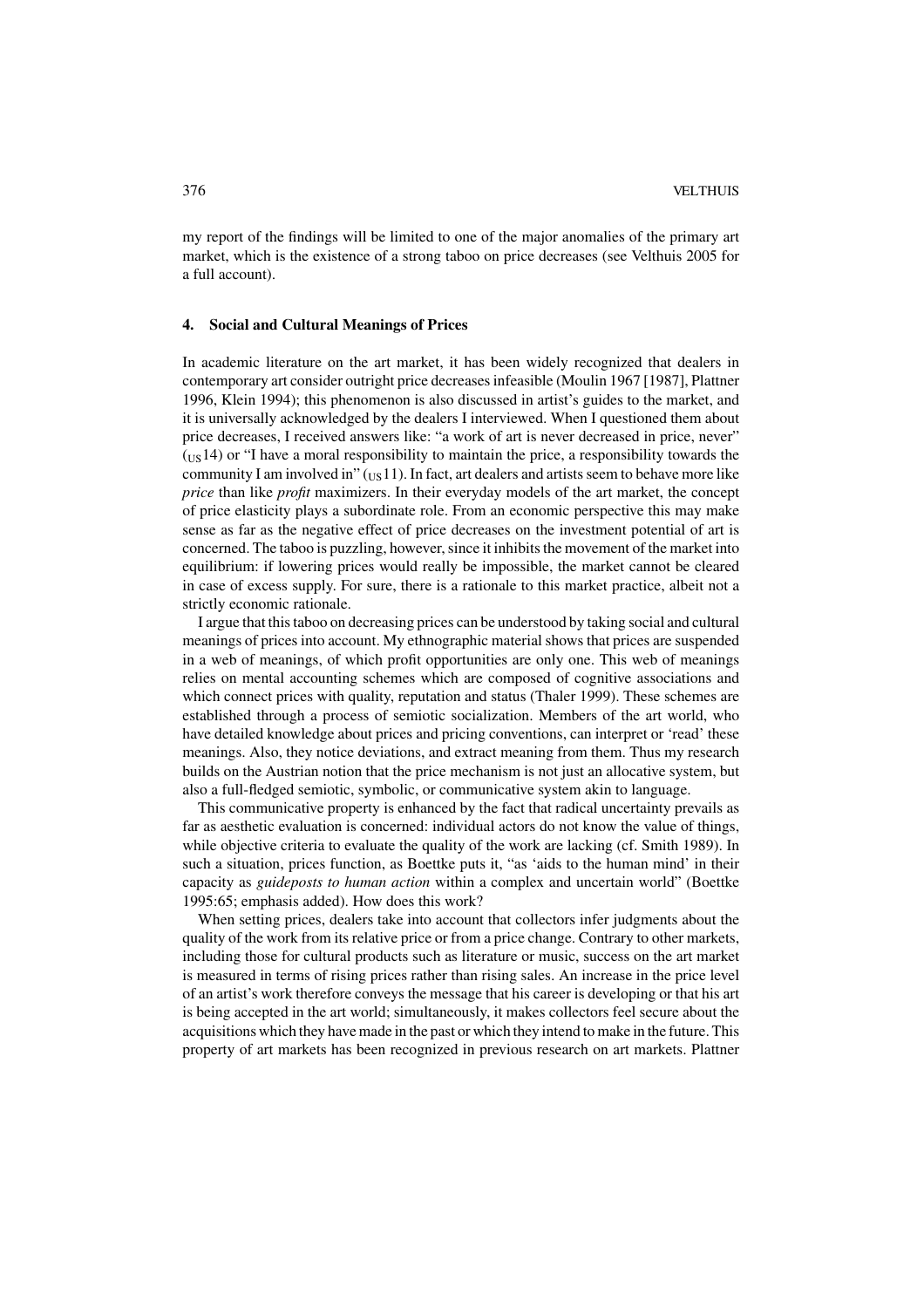my report of the findings will be limited to one of the major anomalies of the primary art market, which is the existence of a strong taboo on price decreases (see Velthuis 2005 for a full account).

#### **4. Social and Cultural Meanings of Prices**

In academic literature on the art market, it has been widely recognized that dealers in contemporary art consider outright price decreases infeasible (Moulin 1967 [1987], Plattner 1996, Klein 1994); this phenomenon is also discussed in artist's guides to the market, and it is universally acknowledged by the dealers I interviewed. When I questioned them about price decreases, I received answers like: "a work of art is never decreased in price, never"  $(1.11)$  or "I have a moral responsibility to maintain the price, a responsibility towards the community I am involved in"  $(y_511)$ . In fact, art dealers and artists seem to behave more like *price* than like *profit* maximizers. In their everyday models of the art market, the concept of price elasticity plays a subordinate role. From an economic perspective this may make sense as far as the negative effect of price decreases on the investment potential of art is concerned. The taboo is puzzling, however, since it inhibits the movement of the market into equilibrium: if lowering prices would really be impossible, the market cannot be cleared in case of excess supply. For sure, there is a rationale to this market practice, albeit not a strictly economic rationale.

I argue that this taboo on decreasing prices can be understood by taking social and cultural meanings of prices into account. My ethnographic material shows that prices are suspended in a web of meanings, of which profit opportunities are only one. This web of meanings relies on mental accounting schemes which are composed of cognitive associations and which connect prices with quality, reputation and status (Thaler 1999). These schemes are established through a process of semiotic socialization. Members of the art world, who have detailed knowledge about prices and pricing conventions, can interpret or 'read' these meanings. Also, they notice deviations, and extract meaning from them. Thus my research builds on the Austrian notion that the price mechanism is not just an allocative system, but also a full-fledged semiotic, symbolic, or communicative system akin to language.

This communicative property is enhanced by the fact that radical uncertainty prevails as far as aesthetic evaluation is concerned: individual actors do not know the value of things, while objective criteria to evaluate the quality of the work are lacking (cf. Smith 1989). In such a situation, prices function, as Boettke puts it, "as 'aids to the human mind' in their capacity as *guideposts to human action* within a complex and uncertain world" (Boettke 1995:65; emphasis added). How does this work?

When setting prices, dealers take into account that collectors infer judgments about the quality of the work from its relative price or from a price change. Contrary to other markets, including those for cultural products such as literature or music, success on the art market is measured in terms of rising prices rather than rising sales. An increase in the price level of an artist's work therefore conveys the message that his career is developing or that his art is being accepted in the art world; simultaneously, it makes collectors feel secure about the acquisitions which they have made in the past or which they intend to make in the future. This property of art markets has been recognized in previous research on art markets. Plattner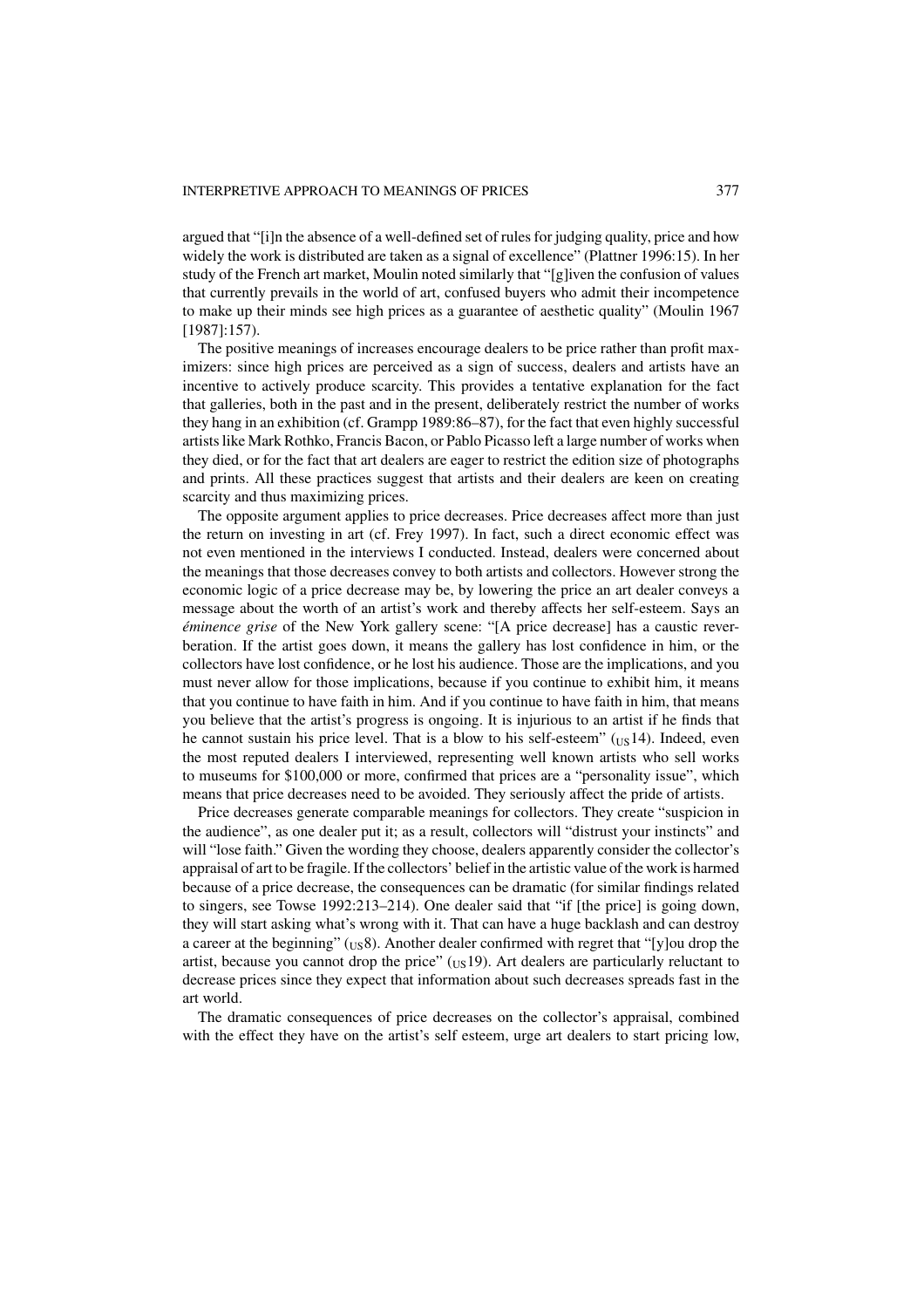argued that "[i]n the absence of a well-defined set of rules for judging quality, price and how widely the work is distributed are taken as a signal of excellence" (Plattner 1996:15). In her study of the French art market, Moulin noted similarly that "[g]iven the confusion of values that currently prevails in the world of art, confused buyers who admit their incompetence to make up their minds see high prices as a guarantee of aesthetic quality" (Moulin 1967 [1987]:157).

The positive meanings of increases encourage dealers to be price rather than profit maximizers: since high prices are perceived as a sign of success, dealers and artists have an incentive to actively produce scarcity. This provides a tentative explanation for the fact that galleries, both in the past and in the present, deliberately restrict the number of works they hang in an exhibition (cf. Grampp 1989:86–87), for the fact that even highly successful artists like Mark Rothko, Francis Bacon, or Pablo Picasso left a large number of works when they died, or for the fact that art dealers are eager to restrict the edition size of photographs and prints. All these practices suggest that artists and their dealers are keen on creating scarcity and thus maximizing prices.

The opposite argument applies to price decreases. Price decreases affect more than just the return on investing in art (cf. Frey 1997). In fact, such a direct economic effect was not even mentioned in the interviews I conducted. Instead, dealers were concerned about the meanings that those decreases convey to both artists and collectors. However strong the economic logic of a price decrease may be, by lowering the price an art dealer conveys a message about the worth of an artist's work and thereby affects her self-esteem. Says an *éminence grise* of the New York gallery scene: "[A price decrease] has a caustic reverberation. If the artist goes down, it means the gallery has lost confidence in him, or the collectors have lost confidence, or he lost his audience. Those are the implications, and you must never allow for those implications, because if you continue to exhibit him, it means that you continue to have faith in him. And if you continue to have faith in him, that means you believe that the artist's progress is ongoing. It is injurious to an artist if he finds that he cannot sustain his price level. That is a blow to his self-esteem"  $(y<sub>S</sub>14)$ . Indeed, even the most reputed dealers I interviewed, representing well known artists who sell works to museums for \$100,000 or more, confirmed that prices are a "personality issue", which means that price decreases need to be avoided. They seriously affect the pride of artists.

Price decreases generate comparable meanings for collectors. They create "suspicion in the audience", as one dealer put it; as a result, collectors will "distrust your instincts" and will "lose faith." Given the wording they choose, dealers apparently consider the collector's appraisal of art to be fragile. If the collectors' belief in the artistic value of the work is harmed because of a price decrease, the consequences can be dramatic (for similar findings related to singers, see Towse 1992:213–214). One dealer said that "if [the price] is going down, they will start asking what's wrong with it. That can have a huge backlash and can destroy a career at the beginning"  $_{\text{US}}$ 8). Another dealer confirmed with regret that "[y]ou drop the artist, because you cannot drop the price"  $_{\text{US}}19$ ). Art dealers are particularly reluctant to decrease prices since they expect that information about such decreases spreads fast in the art world.

The dramatic consequences of price decreases on the collector's appraisal, combined with the effect they have on the artist's self esteem, urge art dealers to start pricing low,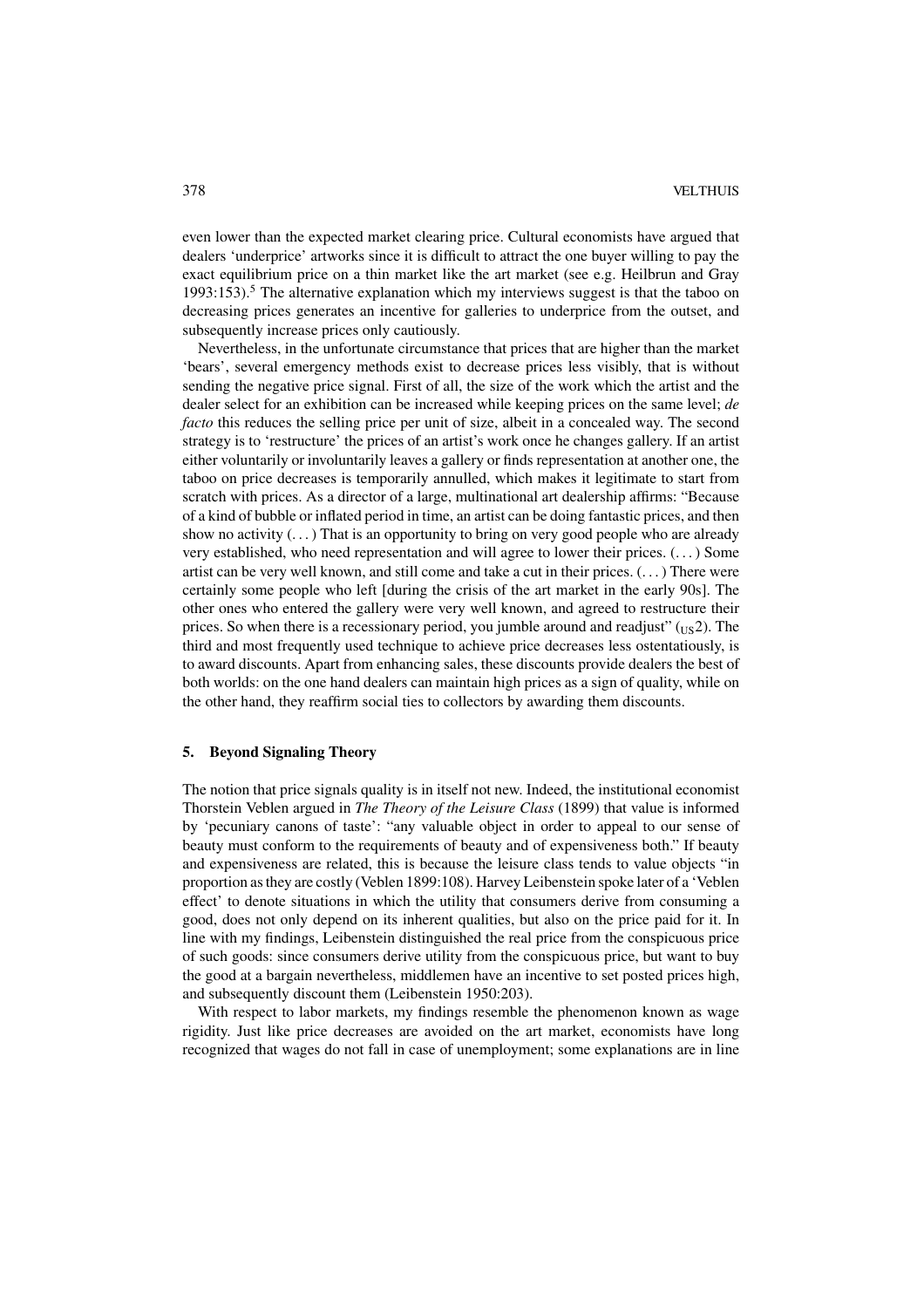even lower than the expected market clearing price. Cultural economists have argued that dealers 'underprice' artworks since it is difficult to attract the one buyer willing to pay the exact equilibrium price on a thin market like the art market (see e.g. Heilbrun and Gray  $1993:153$ ).<sup>5</sup> The alternative explanation which my interviews suggest is that the taboo on decreasing prices generates an incentive for galleries to underprice from the outset, and subsequently increase prices only cautiously.

Nevertheless, in the unfortunate circumstance that prices that are higher than the market 'bears', several emergency methods exist to decrease prices less visibly, that is without sending the negative price signal. First of all, the size of the work which the artist and the dealer select for an exhibition can be increased while keeping prices on the same level; *de facto* this reduces the selling price per unit of size, albeit in a concealed way. The second strategy is to 'restructure' the prices of an artist's work once he changes gallery. If an artist either voluntarily or involuntarily leaves a gallery or finds representation at another one, the taboo on price decreases is temporarily annulled, which makes it legitimate to start from scratch with prices. As a director of a large, multinational art dealership affirms: "Because of a kind of bubble or inflated period in time, an artist can be doing fantastic prices, and then show no activity  $(\ldots)$  That is an opportunity to bring on very good people who are already very established, who need representation and will agree to lower their prices. (. . . ) Some artist can be very well known, and still come and take a cut in their prices.  $( \ldots )$  There were certainly some people who left [during the crisis of the art market in the early 90s]. The other ones who entered the gallery were very well known, and agreed to restructure their prices. So when there is a recessionary period, you jumble around and readjust"  $(1152)$ . The third and most frequently used technique to achieve price decreases less ostentatiously, is to award discounts. Apart from enhancing sales, these discounts provide dealers the best of both worlds: on the one hand dealers can maintain high prices as a sign of quality, while on the other hand, they reaffirm social ties to collectors by awarding them discounts.

## **5. Beyond Signaling Theory**

The notion that price signals quality is in itself not new. Indeed, the institutional economist Thorstein Veblen argued in *The Theory of the Leisure Class* (1899) that value is informed by 'pecuniary canons of taste': "any valuable object in order to appeal to our sense of beauty must conform to the requirements of beauty and of expensiveness both." If beauty and expensiveness are related, this is because the leisure class tends to value objects "in proportion as they are costly (Veblen 1899:108). Harvey Leibenstein spoke later of a 'Veblen effect' to denote situations in which the utility that consumers derive from consuming a good, does not only depend on its inherent qualities, but also on the price paid for it. In line with my findings, Leibenstein distinguished the real price from the conspicuous price of such goods: since consumers derive utility from the conspicuous price, but want to buy the good at a bargain nevertheless, middlemen have an incentive to set posted prices high, and subsequently discount them (Leibenstein 1950:203).

With respect to labor markets, my findings resemble the phenomenon known as wage rigidity. Just like price decreases are avoided on the art market, economists have long recognized that wages do not fall in case of unemployment; some explanations are in line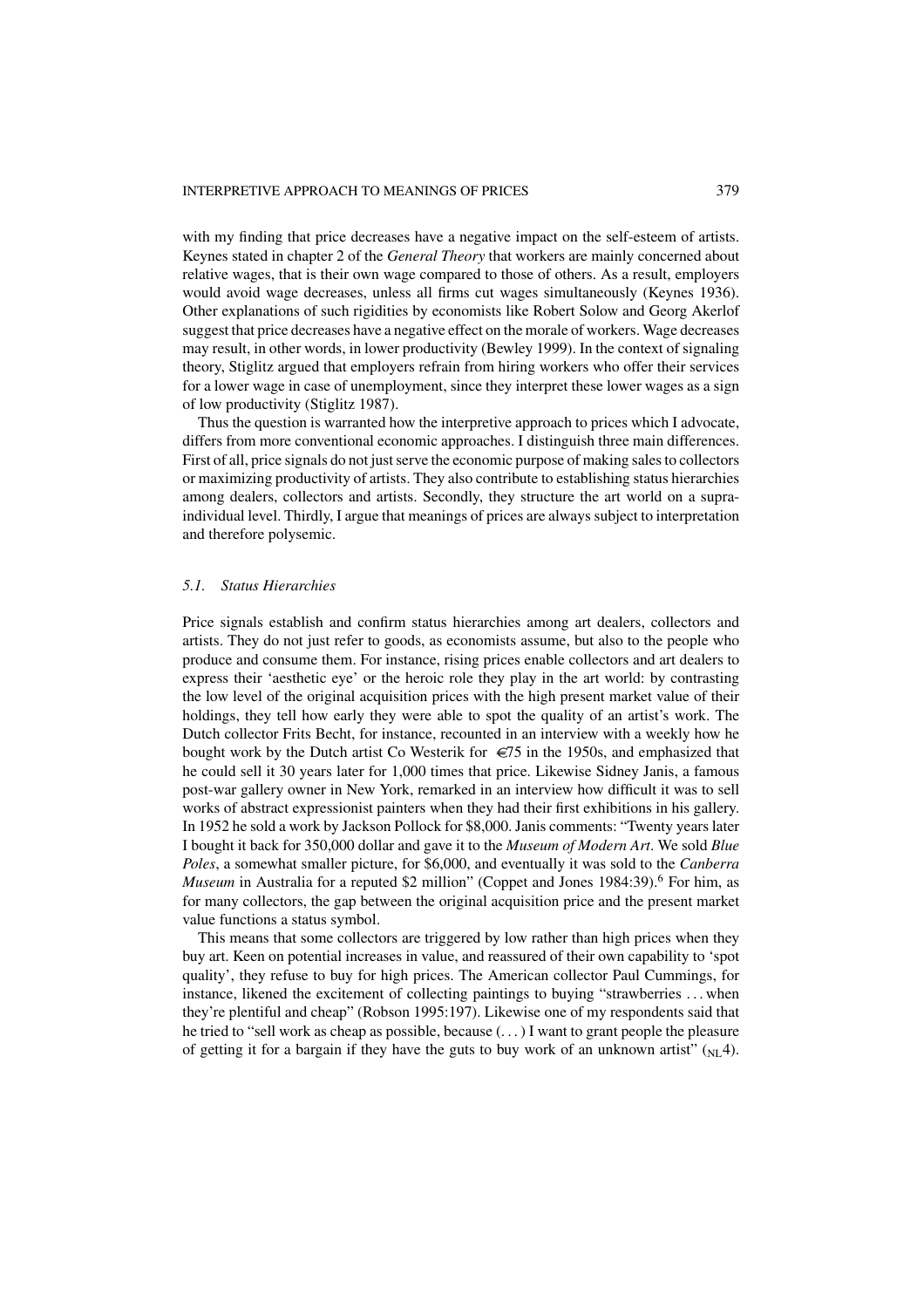with my finding that price decreases have a negative impact on the self-esteem of artists. Keynes stated in chapter 2 of the *General Theory* that workers are mainly concerned about relative wages, that is their own wage compared to those of others. As a result, employers would avoid wage decreases, unless all firms cut wages simultaneously (Keynes 1936). Other explanations of such rigidities by economists like Robert Solow and Georg Akerlof suggest that price decreases have a negative effect on the morale of workers. Wage decreases may result, in other words, in lower productivity (Bewley 1999). In the context of signaling theory, Stiglitz argued that employers refrain from hiring workers who offer their services for a lower wage in case of unemployment, since they interpret these lower wages as a sign of low productivity (Stiglitz 1987).

Thus the question is warranted how the interpretive approach to prices which I advocate, differs from more conventional economic approaches. I distinguish three main differences. First of all, price signals do not just serve the economic purpose of making sales to collectors or maximizing productivity of artists. They also contribute to establishing status hierarchies among dealers, collectors and artists. Secondly, they structure the art world on a supraindividual level. Thirdly, I argue that meanings of prices are always subject to interpretation and therefore polysemic.

# *5.1. Status Hierarchies*

Price signals establish and confirm status hierarchies among art dealers, collectors and artists. They do not just refer to goods, as economists assume, but also to the people who produce and consume them. For instance, rising prices enable collectors and art dealers to express their 'aesthetic eye' or the heroic role they play in the art world: by contrasting the low level of the original acquisition prices with the high present market value of their holdings, they tell how early they were able to spot the quality of an artist's work. The Dutch collector Frits Becht, for instance, recounted in an interview with a weekly how he bought work by the Dutch artist Co Westerik for  $\epsilon$ 75 in the 1950s, and emphasized that he could sell it 30 years later for 1,000 times that price. Likewise Sidney Janis, a famous post-war gallery owner in New York, remarked in an interview how difficult it was to sell works of abstract expressionist painters when they had their first exhibitions in his gallery. In 1952 he sold a work by Jackson Pollock for \$8,000. Janis comments: "Twenty years later I bought it back for 350,000 dollar and gave it to the *Museum of Modern Art*. We sold *Blue Poles*, a somewhat smaller picture, for \$6,000, and eventually it was sold to the *Canberra Museum* in Australia for a reputed \$2 million" (Coppet and Jones 1984:39).<sup>6</sup> For him, as for many collectors, the gap between the original acquisition price and the present market value functions a status symbol.

This means that some collectors are triggered by low rather than high prices when they buy art. Keen on potential increases in value, and reassured of their own capability to 'spot quality', they refuse to buy for high prices. The American collector Paul Cummings, for instance, likened the excitement of collecting paintings to buying "strawberries . . . when they're plentiful and cheap" (Robson 1995:197). Likewise one of my respondents said that he tried to "sell work as cheap as possible, because (. . . ) I want to grant people the pleasure of getting it for a bargain if they have the guts to buy work of an unknown artist" ( $_{\text{NL}}$ 4).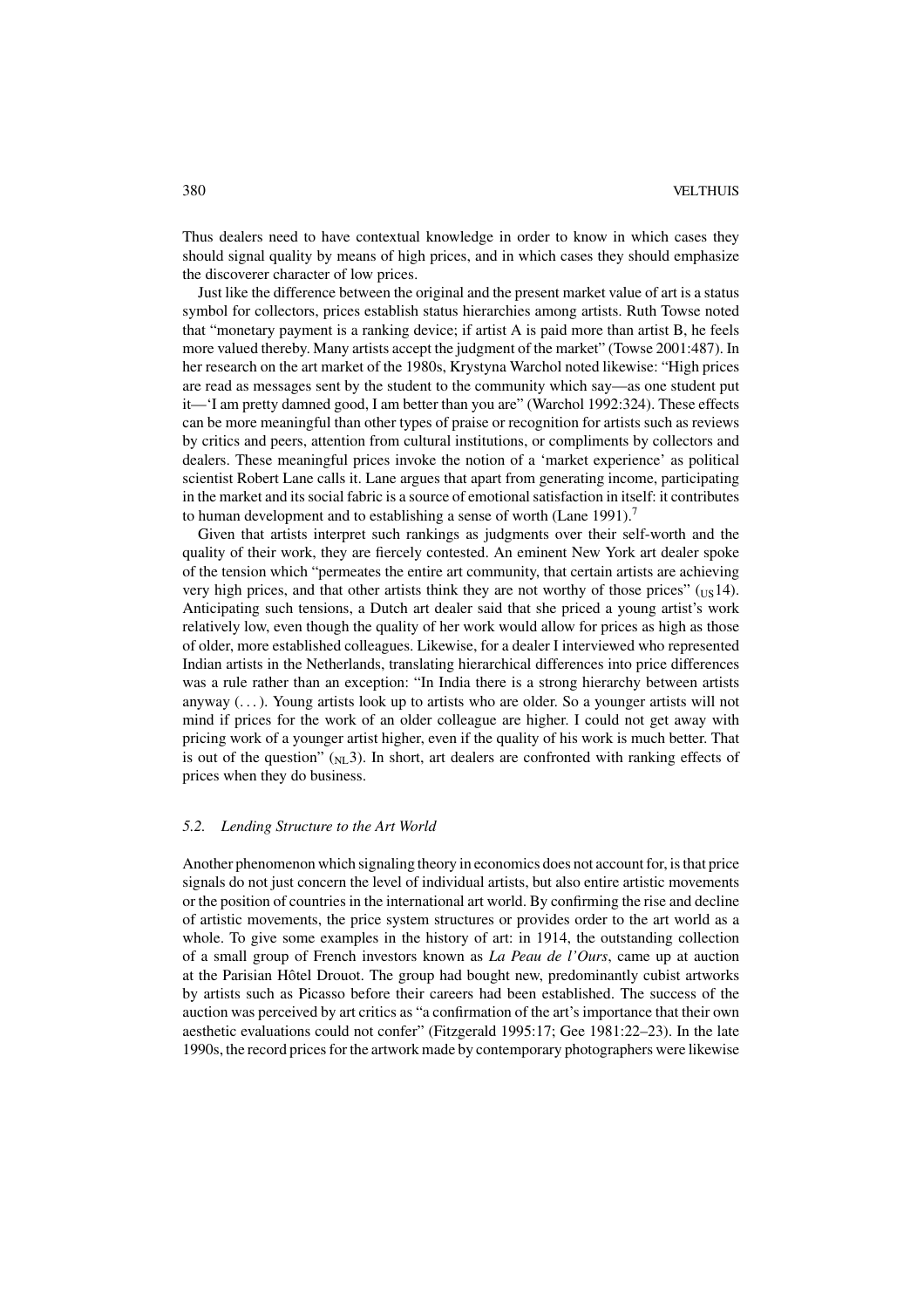Thus dealers need to have contextual knowledge in order to know in which cases they should signal quality by means of high prices, and in which cases they should emphasize the discoverer character of low prices.

Just like the difference between the original and the present market value of art is a status symbol for collectors, prices establish status hierarchies among artists. Ruth Towse noted that "monetary payment is a ranking device; if artist A is paid more than artist B, he feels more valued thereby. Many artists accept the judgment of the market" (Towse 2001:487). In her research on the art market of the 1980s, Krystyna Warchol noted likewise: "High prices are read as messages sent by the student to the community which say—as one student put it—'I am pretty damned good, I am better than you are" (Warchol 1992:324). These effects can be more meaningful than other types of praise or recognition for artists such as reviews by critics and peers, attention from cultural institutions, or compliments by collectors and dealers. These meaningful prices invoke the notion of a 'market experience' as political scientist Robert Lane calls it. Lane argues that apart from generating income, participating in the market and its social fabric is a source of emotional satisfaction in itself: it contributes to human development and to establishing a sense of worth (Lane 1991).<sup>7</sup>

Given that artists interpret such rankings as judgments over their self-worth and the quality of their work, they are fiercely contested. An eminent New York art dealer spoke of the tension which "permeates the entire art community, that certain artists are achieving very high prices, and that other artists think they are not worthy of those prices"  $(1.814)$ . Anticipating such tensions, a Dutch art dealer said that she priced a young artist's work relatively low, even though the quality of her work would allow for prices as high as those of older, more established colleagues. Likewise, for a dealer I interviewed who represented Indian artists in the Netherlands, translating hierarchical differences into price differences was a rule rather than an exception: "In India there is a strong hierarchy between artists anyway  $(\ldots)$ . Young artists look up to artists who are older. So a younger artists will not mind if prices for the work of an older colleague are higher. I could not get away with pricing work of a younger artist higher, even if the quality of his work is much better. That is out of the question" ( $_{\text{NL}}$ 3). In short, art dealers are confronted with ranking effects of prices when they do business.

#### *5.2. Lending Structure to the Art World*

Another phenomenon which signaling theory in economics does not account for, is that price signals do not just concern the level of individual artists, but also entire artistic movements or the position of countries in the international art world. By confirming the rise and decline of artistic movements, the price system structures or provides order to the art world as a whole. To give some examples in the history of art: in 1914, the outstanding collection of a small group of French investors known as *La Peau de l'Ours*, came up at auction at the Parisian Hôtel Drouot. The group had bought new, predominantly cubist artworks by artists such as Picasso before their careers had been established. The success of the auction was perceived by art critics as "a confirmation of the art's importance that their own aesthetic evaluations could not confer" (Fitzgerald 1995:17; Gee 1981:22–23). In the late 1990s, the record prices for the artwork made by contemporary photographers were likewise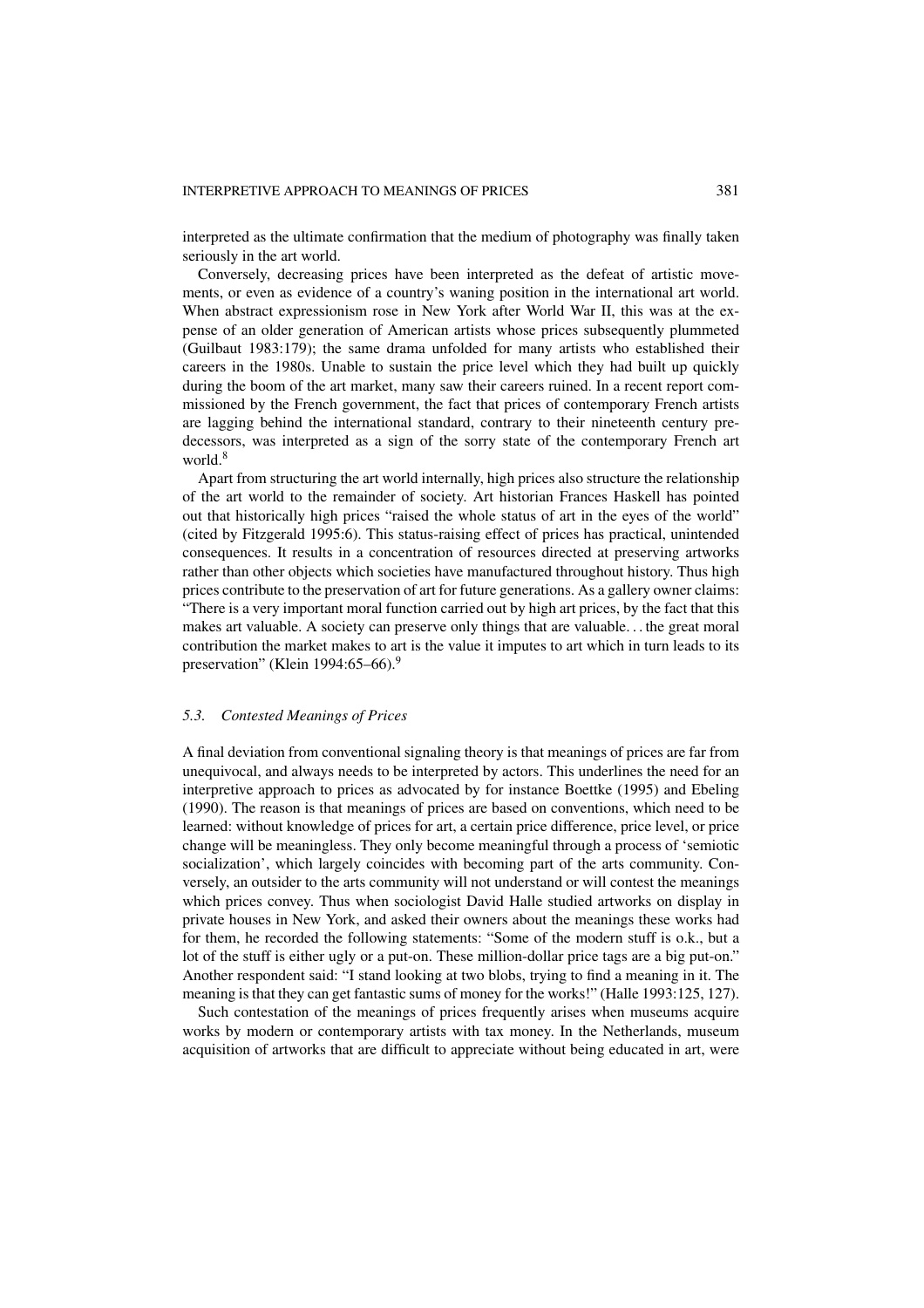interpreted as the ultimate confirmation that the medium of photography was finally taken seriously in the art world.

Conversely, decreasing prices have been interpreted as the defeat of artistic movements, or even as evidence of a country's waning position in the international art world. When abstract expressionism rose in New York after World War II, this was at the expense of an older generation of American artists whose prices subsequently plummeted (Guilbaut 1983:179); the same drama unfolded for many artists who established their careers in the 1980s. Unable to sustain the price level which they had built up quickly during the boom of the art market, many saw their careers ruined. In a recent report commissioned by the French government, the fact that prices of contemporary French artists are lagging behind the international standard, contrary to their nineteenth century predecessors, was interpreted as a sign of the sorry state of the contemporary French art world.<sup>8</sup>

Apart from structuring the art world internally, high prices also structure the relationship of the art world to the remainder of society. Art historian Frances Haskell has pointed out that historically high prices "raised the whole status of art in the eyes of the world" (cited by Fitzgerald 1995:6). This status-raising effect of prices has practical, unintended consequences. It results in a concentration of resources directed at preserving artworks rather than other objects which societies have manufactured throughout history. Thus high prices contribute to the preservation of art for future generations. As a gallery owner claims: "There is a very important moral function carried out by high art prices, by the fact that this makes art valuable. A society can preserve only things that are valuable. . . the great moral contribution the market makes to art is the value it imputes to art which in turn leads to its preservation" (Klein 1994:65–66).<sup>9</sup>

# *5.3. Contested Meanings of Prices*

A final deviation from conventional signaling theory is that meanings of prices are far from unequivocal, and always needs to be interpreted by actors. This underlines the need for an interpretive approach to prices as advocated by for instance Boettke (1995) and Ebeling (1990). The reason is that meanings of prices are based on conventions, which need to be learned: without knowledge of prices for art, a certain price difference, price level, or price change will be meaningless. They only become meaningful through a process of 'semiotic socialization', which largely coincides with becoming part of the arts community. Conversely, an outsider to the arts community will not understand or will contest the meanings which prices convey. Thus when sociologist David Halle studied artworks on display in private houses in New York, and asked their owners about the meanings these works had for them, he recorded the following statements: "Some of the modern stuff is o.k., but a lot of the stuff is either ugly or a put-on. These million-dollar price tags are a big put-on." Another respondent said: "I stand looking at two blobs, trying to find a meaning in it. The meaning is that they can get fantastic sums of money for the works!" (Halle 1993:125, 127).

Such contestation of the meanings of prices frequently arises when museums acquire works by modern or contemporary artists with tax money. In the Netherlands, museum acquisition of artworks that are difficult to appreciate without being educated in art, were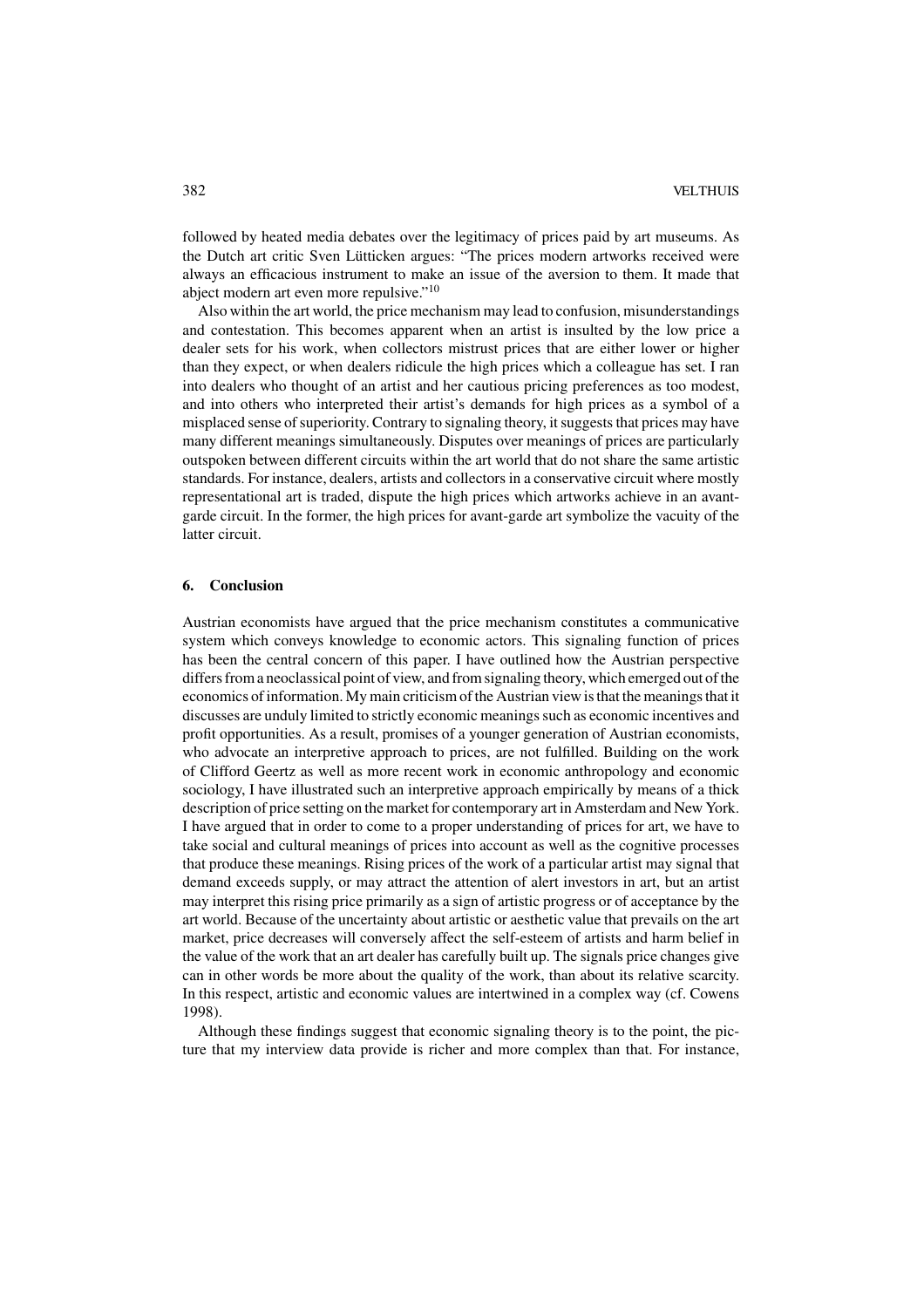followed by heated media debates over the legitimacy of prices paid by art museums. As the Dutch art critic Sven Lütticken argues: "The prices modern artworks received were always an efficacious instrument to make an issue of the aversion to them. It made that abject modern art even more repulsive."<sup>10</sup>

Also within the art world, the price mechanism may lead to confusion, misunderstandings and contestation. This becomes apparent when an artist is insulted by the low price a dealer sets for his work, when collectors mistrust prices that are either lower or higher than they expect, or when dealers ridicule the high prices which a colleague has set. I ran into dealers who thought of an artist and her cautious pricing preferences as too modest, and into others who interpreted their artist's demands for high prices as a symbol of a misplaced sense of superiority. Contrary to signaling theory, it suggests that prices may have many different meanings simultaneously. Disputes over meanings of prices are particularly outspoken between different circuits within the art world that do not share the same artistic standards. For instance, dealers, artists and collectors in a conservative circuit where mostly representational art is traded, dispute the high prices which artworks achieve in an avantgarde circuit. In the former, the high prices for avant-garde art symbolize the vacuity of the latter circuit.

# **6. Conclusion**

Austrian economists have argued that the price mechanism constitutes a communicative system which conveys knowledge to economic actors. This signaling function of prices has been the central concern of this paper. I have outlined how the Austrian perspective differs from a neoclassical point of view, and from signaling theory, which emerged out of the economics of information. My main criticism of the Austrian view is that the meanings that it discusses are unduly limited to strictly economic meanings such as economic incentives and profit opportunities. As a result, promises of a younger generation of Austrian economists, who advocate an interpretive approach to prices, are not fulfilled. Building on the work of Clifford Geertz as well as more recent work in economic anthropology and economic sociology, I have illustrated such an interpretive approach empirically by means of a thick description of price setting on the market for contemporary art in Amsterdam and New York. I have argued that in order to come to a proper understanding of prices for art, we have to take social and cultural meanings of prices into account as well as the cognitive processes that produce these meanings. Rising prices of the work of a particular artist may signal that demand exceeds supply, or may attract the attention of alert investors in art, but an artist may interpret this rising price primarily as a sign of artistic progress or of acceptance by the art world. Because of the uncertainty about artistic or aesthetic value that prevails on the art market, price decreases will conversely affect the self-esteem of artists and harm belief in the value of the work that an art dealer has carefully built up. The signals price changes give can in other words be more about the quality of the work, than about its relative scarcity. In this respect, artistic and economic values are intertwined in a complex way (cf. Cowens 1998).

Although these findings suggest that economic signaling theory is to the point, the picture that my interview data provide is richer and more complex than that. For instance,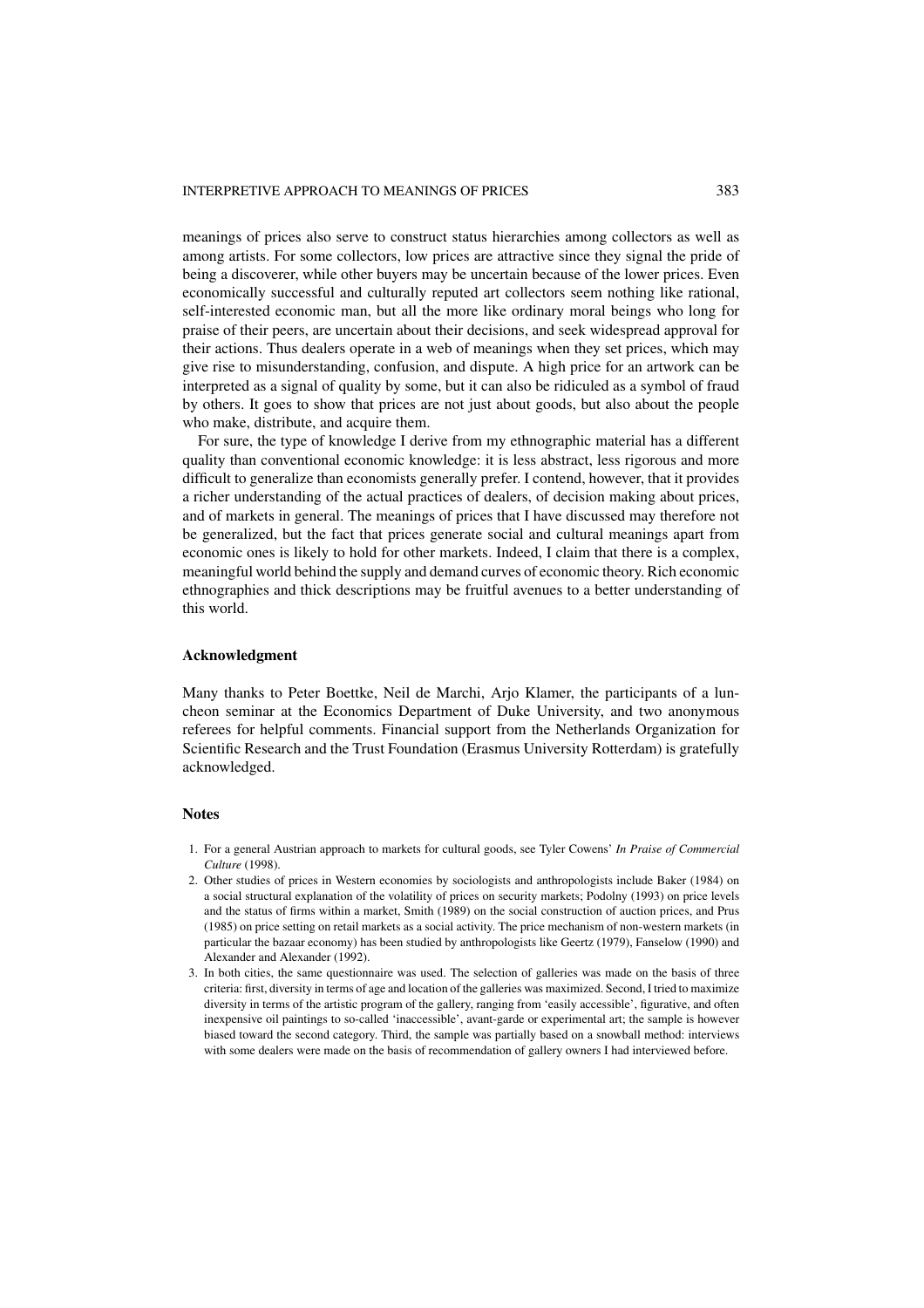meanings of prices also serve to construct status hierarchies among collectors as well as among artists. For some collectors, low prices are attractive since they signal the pride of being a discoverer, while other buyers may be uncertain because of the lower prices. Even economically successful and culturally reputed art collectors seem nothing like rational, self-interested economic man, but all the more like ordinary moral beings who long for praise of their peers, are uncertain about their decisions, and seek widespread approval for their actions. Thus dealers operate in a web of meanings when they set prices, which may give rise to misunderstanding, confusion, and dispute. A high price for an artwork can be interpreted as a signal of quality by some, but it can also be ridiculed as a symbol of fraud by others. It goes to show that prices are not just about goods, but also about the people who make, distribute, and acquire them.

For sure, the type of knowledge I derive from my ethnographic material has a different quality than conventional economic knowledge: it is less abstract, less rigorous and more difficult to generalize than economists generally prefer. I contend, however, that it provides a richer understanding of the actual practices of dealers, of decision making about prices, and of markets in general. The meanings of prices that I have discussed may therefore not be generalized, but the fact that prices generate social and cultural meanings apart from economic ones is likely to hold for other markets. Indeed, I claim that there is a complex, meaningful world behind the supply and demand curves of economic theory. Rich economic ethnographies and thick descriptions may be fruitful avenues to a better understanding of this world.

# **Acknowledgment**

Many thanks to Peter Boettke, Neil de Marchi, Arjo Klamer, the participants of a luncheon seminar at the Economics Department of Duke University, and two anonymous referees for helpful comments. Financial support from the Netherlands Organization for Scientific Research and the Trust Foundation (Erasmus University Rotterdam) is gratefully acknowledged.

# **Notes**

- 1. For a general Austrian approach to markets for cultural goods, see Tyler Cowens' *In Praise of Commercial Culture* (1998).
- 2. Other studies of prices in Western economies by sociologists and anthropologists include Baker (1984) on a social structural explanation of the volatility of prices on security markets; Podolny (1993) on price levels and the status of firms within a market, Smith (1989) on the social construction of auction prices, and Prus (1985) on price setting on retail markets as a social activity. The price mechanism of non-western markets (in particular the bazaar economy) has been studied by anthropologists like Geertz (1979), Fanselow (1990) and Alexander and Alexander (1992).
- 3. In both cities, the same questionnaire was used. The selection of galleries was made on the basis of three criteria: first, diversity in terms of age and location of the galleries was maximized. Second, I tried to maximize diversity in terms of the artistic program of the gallery, ranging from 'easily accessible', figurative, and often inexpensive oil paintings to so-called 'inaccessible', avant-garde or experimental art; the sample is however biased toward the second category. Third, the sample was partially based on a snowball method: interviews with some dealers were made on the basis of recommendation of gallery owners I had interviewed before.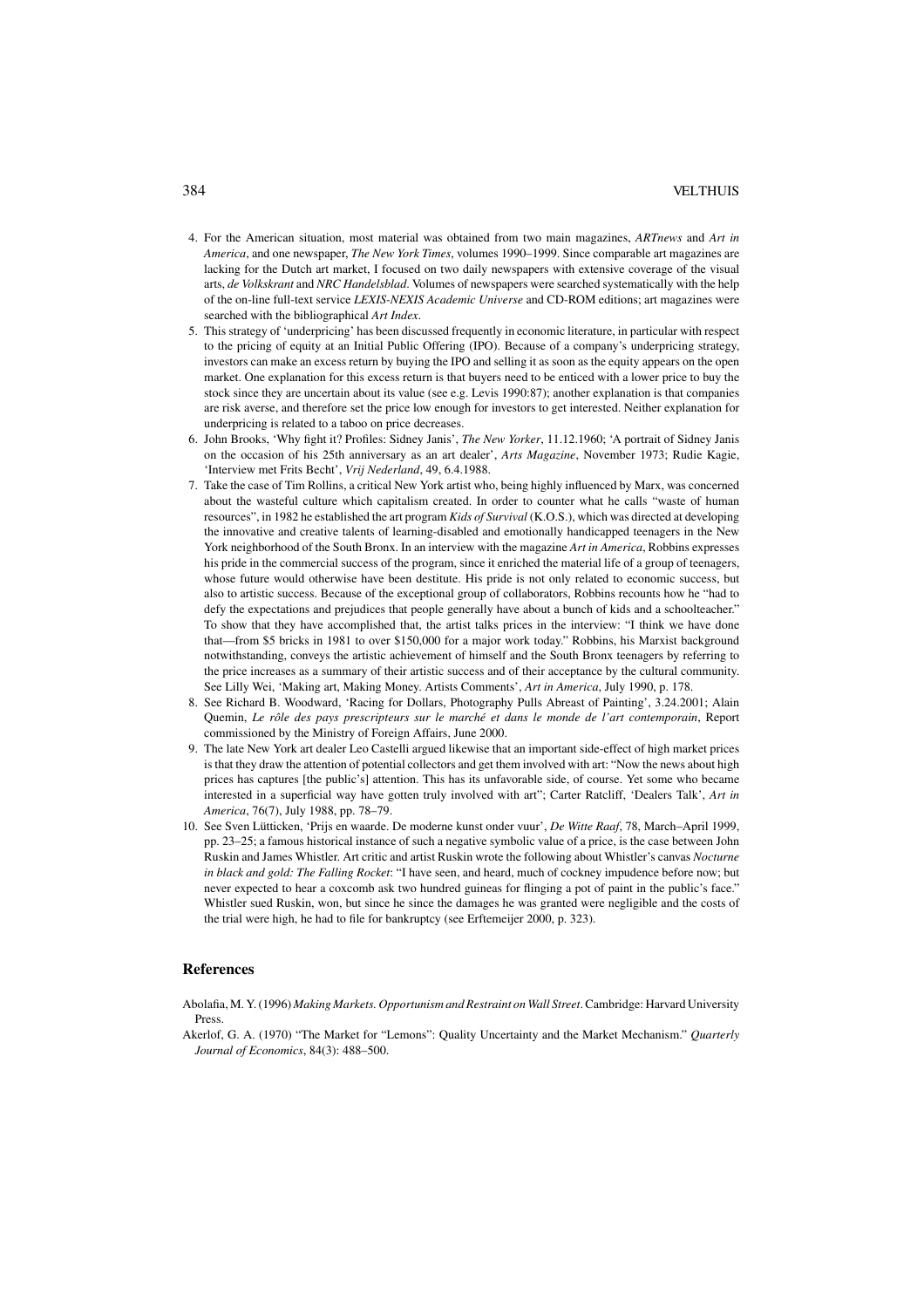#### 384 VELTHUIS

- 4. For the American situation, most material was obtained from two main magazines, *ARTnews* and *Art in America*, and one newspaper, *The New York Times*, volumes 1990–1999. Since comparable art magazines are lacking for the Dutch art market, I focused on two daily newspapers with extensive coverage of the visual arts, *de Volkskrant* and *NRC Handelsblad*. Volumes of newspapers were searched systematically with the help of the on-line full-text service *LEXIS-NEXIS Academic Universe* and CD-ROM editions; art magazines were searched with the bibliographical *Art Index*.
- 5. This strategy of 'underpricing' has been discussed frequently in economic literature, in particular with respect to the pricing of equity at an Initial Public Offering (IPO). Because of a company's underpricing strategy, investors can make an excess return by buying the IPO and selling it as soon as the equity appears on the open market. One explanation for this excess return is that buyers need to be enticed with a lower price to buy the stock since they are uncertain about its value (see e.g. Levis 1990:87); another explanation is that companies are risk averse, and therefore set the price low enough for investors to get interested. Neither explanation for underpricing is related to a taboo on price decreases.
- 6. John Brooks, 'Why fight it? Profiles: Sidney Janis', *The New Yorker*, 11.12.1960; 'A portrait of Sidney Janis on the occasion of his 25th anniversary as an art dealer', *Arts Magazine*, November 1973; Rudie Kagie, 'Interview met Frits Becht', *Vrij Nederland*, 49, 6.4.1988.
- 7. Take the case of Tim Rollins, a critical New York artist who, being highly influenced by Marx, was concerned about the wasteful culture which capitalism created. In order to counter what he calls "waste of human resources", in 1982 he established the art program *Kids of Survival* (K.O.S.), which was directed at developing the innovative and creative talents of learning-disabled and emotionally handicapped teenagers in the New York neighborhood of the South Bronx. In an interview with the magazine *Art in America*, Robbins expresses his pride in the commercial success of the program, since it enriched the material life of a group of teenagers, whose future would otherwise have been destitute. His pride is not only related to economic success, but also to artistic success. Because of the exceptional group of collaborators, Robbins recounts how he "had to defy the expectations and prejudices that people generally have about a bunch of kids and a schoolteacher." To show that they have accomplished that, the artist talks prices in the interview: "I think we have done that—from \$5 bricks in 1981 to over \$150,000 for a major work today." Robbins, his Marxist background notwithstanding, conveys the artistic achievement of himself and the South Bronx teenagers by referring to the price increases as a summary of their artistic success and of their acceptance by the cultural community. See Lilly Wei, 'Making art, Making Money. Artists Comments', *Art in America*, July 1990, p. 178.
- 8. See Richard B. Woodward, 'Racing for Dollars, Photography Pulls Abreast of Painting', 3.24.2001; Alain Quemin, *Le rôle des pays prescripteurs sur le marché et dans le monde de l'art contemporain*, Report commissioned by the Ministry of Foreign Affairs, June 2000.
- 9. The late New York art dealer Leo Castelli argued likewise that an important side-effect of high market prices is that they draw the attention of potential collectors and get them involved with art: "Now the news about high prices has captures [the public's] attention. This has its unfavorable side, of course. Yet some who became interested in a superficial way have gotten truly involved with art"; Carter Ratcliff, 'Dealers Talk', *Art in America*, 76(7), July 1988, pp. 78–79.
- 10. See Sven L¨utticken, 'Prijs en waarde. De moderne kunst onder vuur', *De Witte Raaf*, 78, March–April 1999, pp. 23–25; a famous historical instance of such a negative symbolic value of a price, is the case between John Ruskin and James Whistler. Art critic and artist Ruskin wrote the following about Whistler's canvas *Nocturne in black and gold: The Falling Rocket*: "I have seen, and heard, much of cockney impudence before now; but never expected to hear a coxcomb ask two hundred guineas for flinging a pot of paint in the public's face." Whistler sued Ruskin, won, but since he since the damages he was granted were negligible and the costs of the trial were high, he had to file for bankruptcy (see Erftemeijer 2000, p. 323).

# **References**

- Abolafia, M. Y. (1996) *Making Markets. Opportunism and Restraint on Wall Street*.Cambridge: Harvard University Press.
- Akerlof, G. A. (1970) "The Market for "Lemons": Quality Uncertainty and the Market Mechanism." *Quarterly Journal of Economics*, 84(3): 488–500.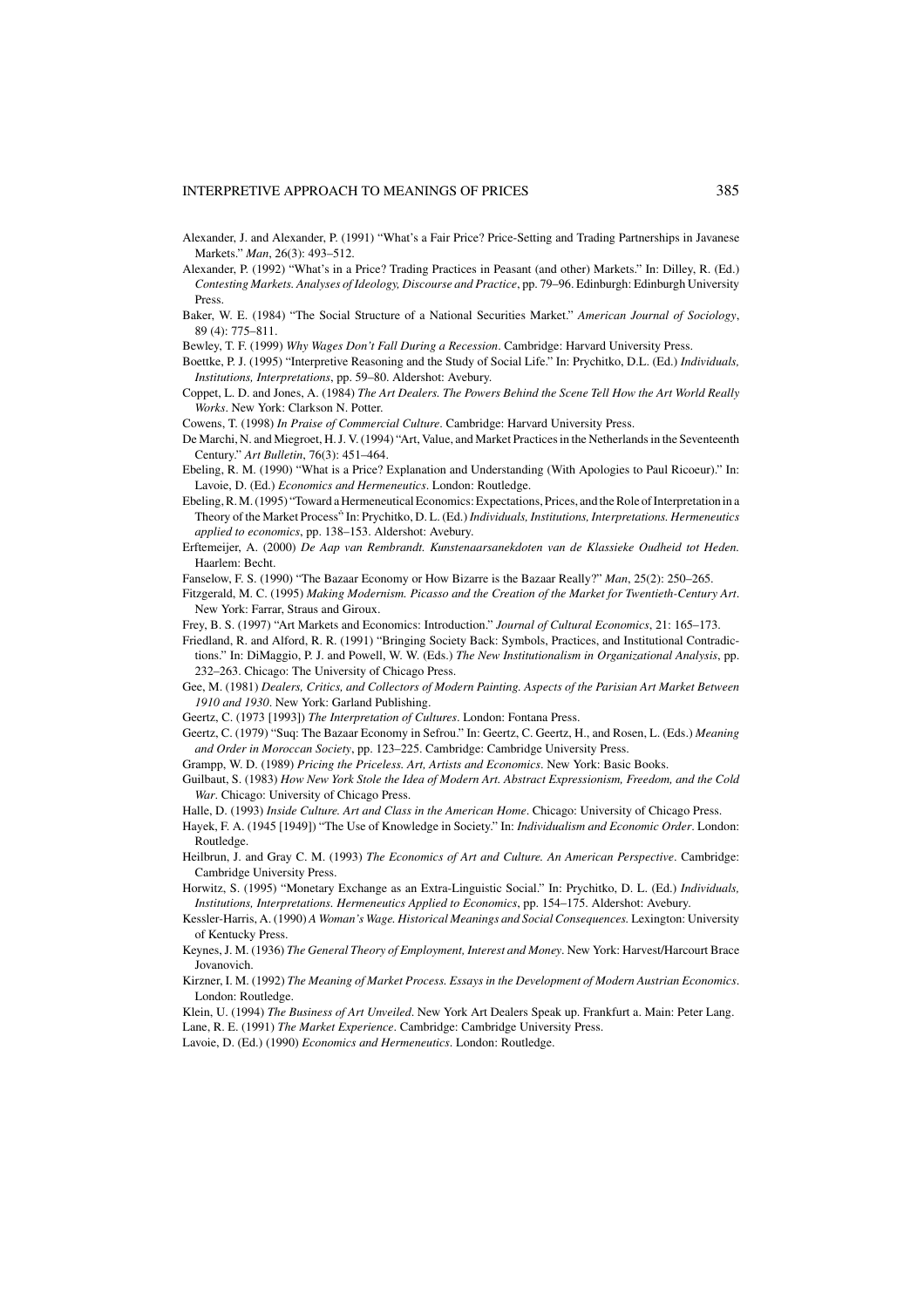#### INTERPRETIVE APPROACH TO MEANINGS OF PRICES 385

- Alexander, J. and Alexander, P. (1991) "What's a Fair Price? Price-Setting and Trading Partnerships in Javanese Markets." *Man*, 26(3): 493–512.
- Alexander, P. (1992) "What's in a Price? Trading Practices in Peasant (and other) Markets." In: Dilley, R. (Ed.) *Contesting Markets. Analyses of Ideology, Discourse and Practice*, pp. 79–96. Edinburgh: Edinburgh University Press.
- Baker, W. E. (1984) "The Social Structure of a National Securities Market." *American Journal of Sociology*, 89 (4): 775–811.
- Bewley, T. F. (1999) *Why Wages Don't Fall During a Recession*. Cambridge: Harvard University Press.
- Boettke, P. J. (1995) "Interpretive Reasoning and the Study of Social Life." In: Prychitko, D.L. (Ed.) *Individuals, Institutions, Interpretations*, pp. 59–80. Aldershot: Avebury.
- Coppet, L. D. and Jones, A. (1984) *The Art Dealers. The Powers Behind the Scene Tell How the Art World Really Works*. New York: Clarkson N. Potter.
- Cowens, T. (1998) *In Praise of Commercial Culture*. Cambridge: Harvard University Press.
- De Marchi, N. and Miegroet, H. J. V. (1994) "Art, Value, and Market Practices in the Netherlands in the Seventeenth Century." *Art Bulletin*, 76(3): 451–464.
- Ebeling, R. M. (1990) "What is a Price? Explanation and Understanding (With Apologies to Paul Ricoeur)." In: Lavoie, D. (Ed.) *Economics and Hermeneutics*. London: Routledge.
- Ebeling, R. M. (1995) "Toward a Hermeneutical Economics: Expectations, Prices, and the Role of Interpretation in a Theory of the Market Process<sup>5</sup> In: Prychitko, D. L. (Ed.) *Individuals, Institutions, Interpretations. Hermeneutics applied to economics*, pp. 138–153. Aldershot: Avebury.
- Erftemeijer, A. (2000) *De Aap van Rembrandt. Kunstenaarsanekdoten van de Klassieke Oudheid tot Heden.* Haarlem: Becht.
- Fanselow, F. S. (1990) "The Bazaar Economy or How Bizarre is the Bazaar Really?" *Man*, 25(2): 250–265.
- Fitzgerald, M. C. (1995) *Making Modernism. Picasso and the Creation of the Market for Twentieth-Century Art*. New York: Farrar, Straus and Giroux.
- Frey, B. S. (1997) "Art Markets and Economics: Introduction." *Journal of Cultural Economics*, 21: 165–173.
- Friedland, R. and Alford, R. R. (1991) "Bringing Society Back: Symbols, Practices, and Institutional Contradictions." In: DiMaggio, P. J. and Powell, W. W. (Eds.) *The New Institutionalism in Organizational Analysis*, pp.
- 232–263. Chicago: The University of Chicago Press. Gee, M. (1981) *Dealers, Critics, and Collectors of Modern Painting. Aspects of the Parisian Art Market Between 1910 and 1930*. New York: Garland Publishing.
- Geertz, C. (1973 [1993]) *The Interpretation of Cultures*. London: Fontana Press.
- Geertz, C. (1979) "Suq: The Bazaar Economy in Sefrou." In: Geertz, C. Geertz, H., and Rosen, L. (Eds.) *Meaning and Order in Moroccan Society*, pp. 123–225. Cambridge: Cambridge University Press.
- Grampp, W. D. (1989) *Pricing the Priceless. Art, Artists and Economics*. New York: Basic Books.
- Guilbaut, S. (1983) *How New York Stole the Idea of Modern Art. Abstract Expressionism, Freedom, and the Cold War*. Chicago: University of Chicago Press.
- Halle, D. (1993) *Inside Culture. Art and Class in the American Home*. Chicago: University of Chicago Press.
- Hayek, F. A. (1945 [1949]) "The Use of Knowledge in Society." In: *Individualism and Economic Order*. London: Routledge.
- Heilbrun, J. and Gray C. M. (1993) *The Economics of Art and Culture. An American Perspective*. Cambridge: Cambridge University Press.
- Horwitz, S. (1995) "Monetary Exchange as an Extra-Linguistic Social." In: Prychitko, D. L. (Ed.) *Individuals, Institutions, Interpretations. Hermeneutics Applied to Economics*, pp. 154–175. Aldershot: Avebury.
- Kessler-Harris, A. (1990) *A Woman's Wage. Historical Meanings and Social Consequences.* Lexington: University of Kentucky Press.
- Keynes, J. M. (1936) *The General Theory of Employment, Interest and Money*. New York: Harvest/Harcourt Brace Jovanovich.
- Kirzner, I. M. (1992) *The Meaning of Market Process. Essays in the Development of Modern Austrian Economics*. London: Routledge.
- Klein, U. (1994) *The Business of Art Unveiled*. New York Art Dealers Speak up. Frankfurt a. Main: Peter Lang. Lane, R. E. (1991) *The Market Experience*. Cambridge: Cambridge University Press.
- Lavoie, D. (Ed.) (1990) *Economics and Hermeneutics*. London: Routledge.